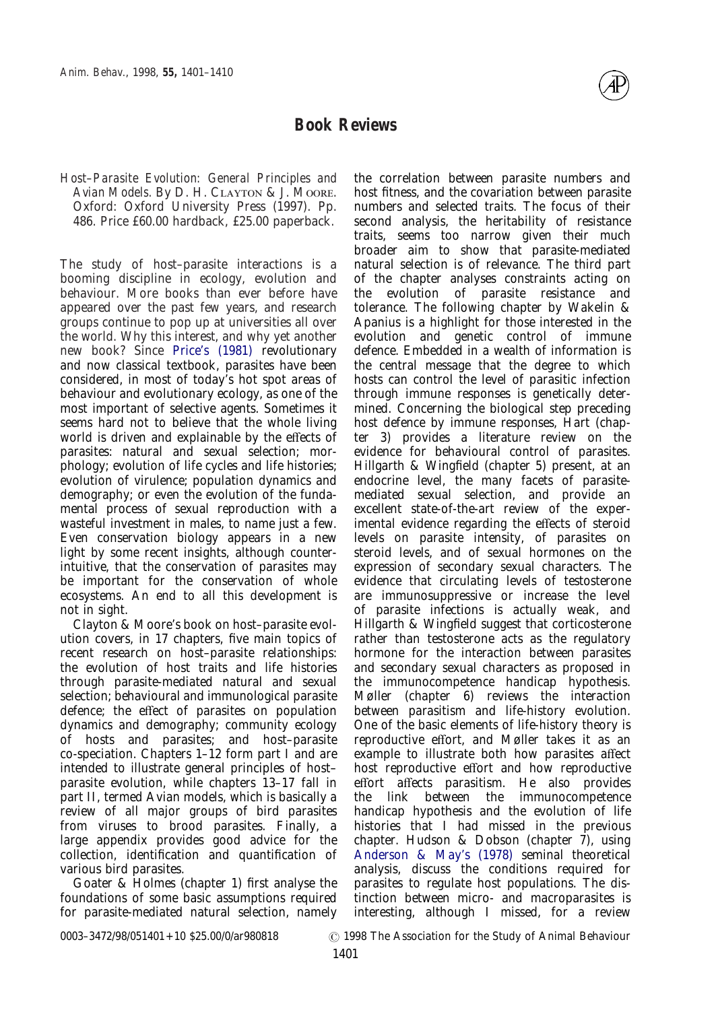# **Book Reviews**

*Host–Parasite Evolution: General Principles and* Avian Models. By D. H. CLAYTON & J. MOORE. Oxford: Oxford University Press (1997). Pp. 486. Price £60.00 hardback, £25.00 paperback.

The study of host–parasite interactions is a booming discipline in ecology, evolution and behaviour. More books than ever before have appeared over the past few years, and research groups continue to pop up at universities all over the world. Why this interest, and why yet another new book? Since [Price's \(1981\)](#page-1-0) revolutionary and now classical textbook, parasites have been considered, in most of today's hot spot areas of behaviour and evolutionary ecology, as one of the most important of selective agents. Sometimes it seems hard not to believe that the whole living world is driven and explainable by the effects of parasites: natural and sexual selection; morphology; evolution of life cycles and life histories; evolution of virulence; population dynamics and demography; or even the evolution of the fundamental process of sexual reproduction with a wasteful investment in males, to name just a few. Even conservation biology appears in a new light by some recent insights, although counterintuitive, that the conservation of parasites may be important for the conservation of whole ecosystems. An end to all this development is not in sight.

Clayton & Moore's book on host–parasite evolution covers, in 17 chapters, five main topics of recent research on host–parasite relationships: the evolution of host traits and life histories through parasite-mediated natural and sexual selection; behavioural and immunological parasite defence; the effect of parasites on population dynamics and demography; community ecology of hosts and parasites; and host–parasite co-speciation. Chapters 1–12 form part I and are intended to illustrate general principles of host– parasite evolution, while chapters 13–17 fall in part II, termed Avian models, which is basically a review of all major groups of bird parasites from viruses to brood parasites. Finally, a large appendix provides good advice for the collection, identification and quantification of various bird parasites.

Goater & Holmes (chapter 1) first analyse the foundations of some basic assumptions required for parasite-mediated natural selection, namely the correlation between parasite numbers and host fitness, and the covariation between parasite numbers and selected traits. The focus of their second analysis, the heritability of resistance traits, seems too narrow given their much broader aim to show that parasite-mediated natural selection is of relevance. The third part of the chapter analyses constraints acting on the evolution of parasite resistance and tolerance. The following chapter by Wakelin & Apanius is a highlight for those interested in the evolution and genetic control of immune defence. Embedded in a wealth of information is the central message that the degree to which hosts can control the level of parasitic infection through immune responses is genetically determined. Concerning the biological step preceding host defence by immune responses, Hart (chapter 3) provides a literature review on the evidence for behavioural control of parasites. Hillgarth & Wingfield (chapter 5) present, at an endocrine level, the many facets of parasitemediated sexual selection, and provide an excellent state-of-the-art review of the experimental evidence regarding the effects of steroid levels on parasite intensity, of parasites on steroid levels, and of sexual hormones on the expression of secondary sexual characters. The evidence that circulating levels of testosterone are immunosuppressive or increase the level of parasite infections is actually weak, and Hillgarth & Wingfield suggest that corticosterone rather than testosterone acts as the regulatory hormone for the interaction between parasites and secondary sexual characters as proposed in the immunocompetence handicap hypothesis. Møller (chapter 6) reviews the interaction between parasitism and life-history evolution. One of the basic elements of life-history theory is reproductive effort, and Møller takes it as an example to illustrate both how parasites affect host reproductive effort and how reproductive effort affects parasitism. He also provides the link between the immunocompetence handicap hypothesis and the evolution of life histories that I had missed in the previous chapter. Hudson & Dobson (chapter 7), using [Anderson & May's \(1978\)](#page-1-1) seminal theoretical analysis, discuss the conditions required for parasites to regulate host populations. The distinction between micro- and macroparasites is interesting, although I missed, for a review

0003–3472/98/051401+10 \$25.00/0/ar980818 <br>  $\odot$  1998 The Association for the Study of Animal Behaviour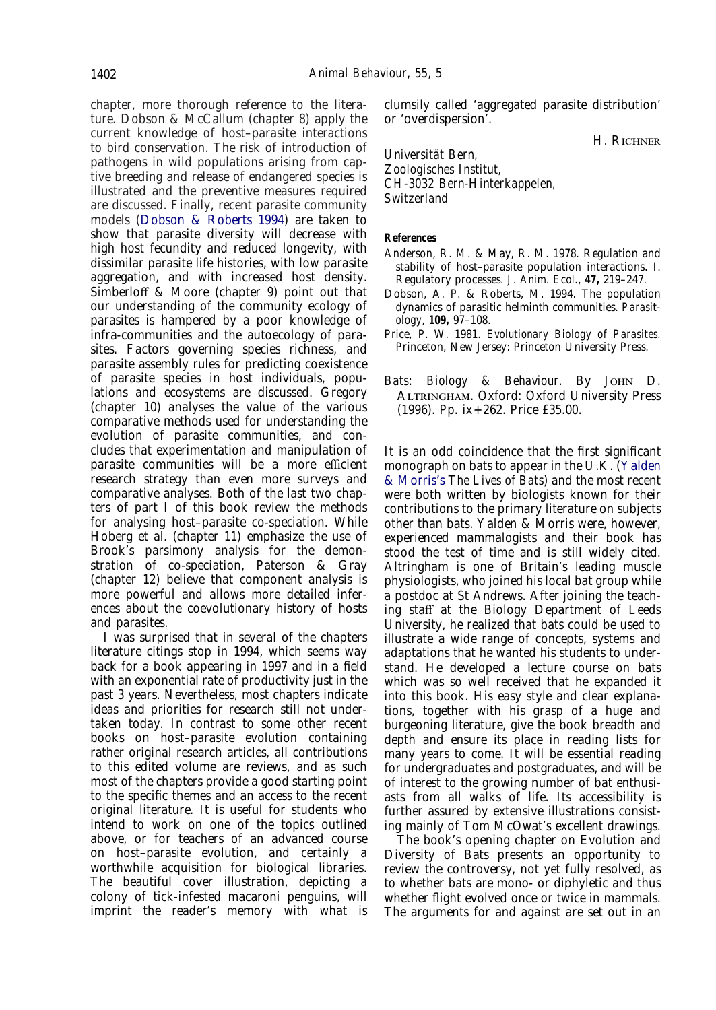chapter, more thorough reference to the literature. Dobson & McCallum (chapter 8) apply the current knowledge of host–parasite interactions to bird conservation. The risk of introduction of pathogens in wild populations arising from captive breeding and release of endangered species is illustrated and the preventive measures required are discussed. Finally, recent parasite community models [\(Dobson & Roberts 1994\)](#page-1-2) are taken to show that parasite diversity will decrease with high host fecundity and reduced longevity, with dissimilar parasite life histories, with low parasite aggregation, and with increased host density. Simberloff & Moore (chapter 9) point out that our understanding of the community ecology of parasites is hampered by a poor knowledge of infra-communities and the autoecology of parasites. Factors governing species richness, and parasite assembly rules for predicting coexistence of parasite species in host individuals, populations and ecosystems are discussed. Gregory (chapter 10) analyses the value of the various comparative methods used for understanding the evolution of parasite communities, and concludes that experimentation and manipulation of parasite communities will be a more efficient research strategy than even more surveys and comparative analyses. Both of the last two chapters of part I of this book review the methods for analysing host–parasite co-speciation. While Hoberg et al. (chapter 11) emphasize the use of Brook's parsimony analysis for the demonstration of co-speciation, Paterson & Gray (chapter 12) believe that component analysis is more powerful and allows more detailed inferences about the coevolutionary history of hosts and parasites.

I was surprised that in several of the chapters literature citings stop in 1994, which seems way back for a book appearing in 1997 and in a field with an exponential rate of productivity just in the past 3 years. Nevertheless, most chapters indicate ideas and priorities for research still not undertaken today. In contrast to some other recent books on host–parasite evolution containing rather original research articles, all contributions to this edited volume are reviews, and as such most of the chapters provide a good starting point to the specific themes and an access to the recent original literature. It is useful for students who intend to work on one of the topics outlined above, or for teachers of an advanced course on host–parasite evolution, and certainly a worthwhile acquisition for biological libraries. The beautiful cover illustration, depicting a colony of tick-infested macaroni penguins, will imprint the reader's memory with what is

clumsily called 'aggregated parasite distribution' or 'overdispersion'.

H. RICHNER

*Universita¨t Bern, Zoologisches Institut, CH-3032 Bern-Hinterkappelen, Switzerland*

## **References**

- <span id="page-1-1"></span>Anderson, R. M. & May, R. M. 1978. Regulation and stability of host–parasite population interactions. I. Regulatory processes. *J. Anim. Ecol.*, **47,** 219–247.
- <span id="page-1-2"></span>Dobson, A. P. & Roberts, M. 1994. The population dynamics of parasitic helminth communities. *Parasitology*, **109,** 97–108.
- <span id="page-1-0"></span>Price, P. W. 1981. *Evolutionary Biology of Parasites.* Princeton, New Jersey: Princeton University Press.
- *Bats: Biology & Behaviour.* By JOHN D. ALTRINGHAM. Oxford: Oxford University Press (1996). Pp. ix+262. Price £35.00.

It is an odd coincidence that the first significant monograph on bats to appear in the U.K. [\(Yalden](#page-1-2) [& Morris's](#page-1-2) *The Lives of Bats*) and the most recent were both written by biologists known for their contributions to the primary literature on subjects other than bats. Yalden & Morris were, however, experienced mammalogists and their book has stood the test of time and is still widely cited. Altringham is one of Britain's leading muscle physiologists, who joined his local bat group while a postdoc at St Andrews. After joining the teaching staff at the Biology Department of Leeds University, he realized that bats could be used to illustrate a wide range of concepts, systems and adaptations that he wanted his students to understand. He developed a lecture course on bats which was so well received that he expanded it into this book. His easy style and clear explanations, together with his grasp of a huge and burgeoning literature, give the book breadth and depth and ensure its place in reading lists for many years to come. It will be essential reading for undergraduates and postgraduates, and will be of interest to the growing number of bat enthusiasts from all walks of life. Its accessibility is further assured by extensive illustrations consisting mainly of Tom McOwat's excellent drawings.

The book's opening chapter on Evolution and Diversity of Bats presents an opportunity to review the controversy, not yet fully resolved, as to whether bats are mono- or diphyletic and thus whether flight evolved once or twice in mammals. The arguments for and against are set out in an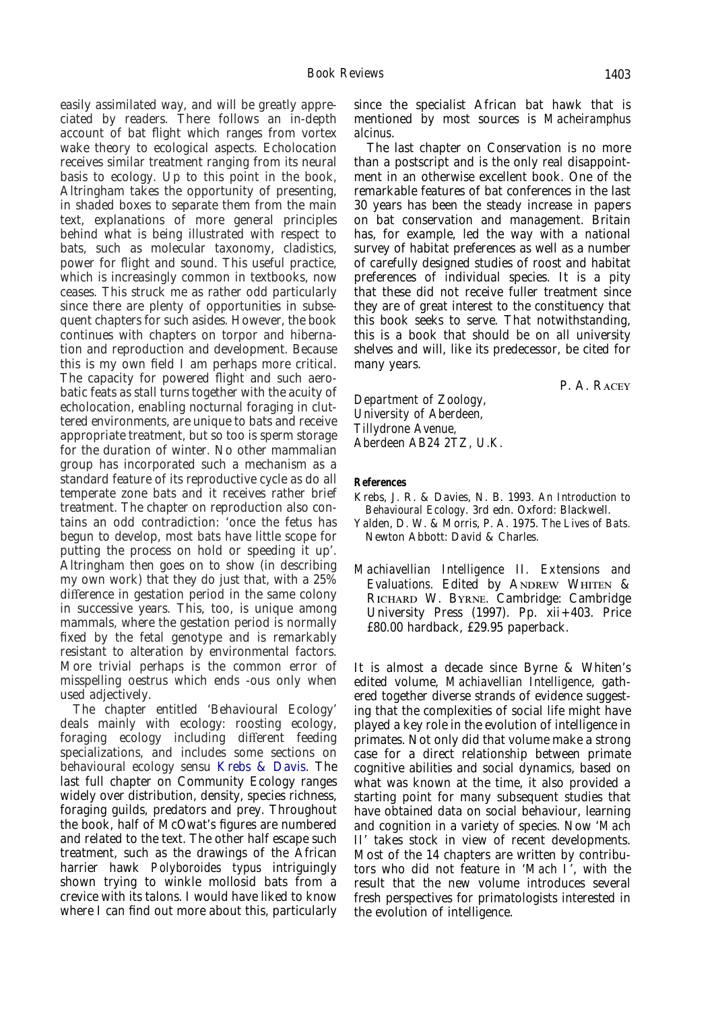easily assimilated way, and will be greatly appreciated by readers. There follows an in-depth account of bat flight which ranges from vortex wake theory to ecological aspects. Echolocation receives similar treatment ranging from its neural basis to ecology. Up to this point in the book, Altringham takes the opportunity of presenting, in shaded boxes to separate them from the main text, explanations of more general principles behind what is being illustrated with respect to bats, such as molecular taxonomy, cladistics, power for flight and sound. This useful practice, which is increasingly common in textbooks, now ceases. This struck me as rather odd particularly since there are plenty of opportunities in subsequent chapters for such asides. However, the book continues with chapters on torpor and hibernation and reproduction and development. Because this is my own field I am perhaps more critical. The capacity for powered flight and such aerobatic feats as stall turns together with the acuity of echolocation, enabling nocturnal foraging in cluttered environments, are unique to bats and receive appropriate treatment, but so too is sperm storage for the duration of winter. No other mammalian group has incorporated such a mechanism as a standard feature of its reproductive cycle as do all temperate zone bats and it receives rather brief treatment. The chapter on reproduction also contains an odd contradiction: 'once the fetus has begun to develop, most bats have little scope for putting the process on hold or speeding it up'. Altringham then goes on to show (in describing my own work) that they do just that, with a 25% difference in gestation period in the same colony in successive years. This, too, is unique among mammals, where the gestation period is normally fixed by the fetal genotype and is remarkably resistant to alteration by environmental factors. More trivial perhaps is the common error of misspelling oestrus which ends -ous only when used adjectively.

The chapter entitled 'Behavioural Ecology' deals mainly with ecology: roosting ecology, foraging ecology including different feeding specializations, and includes some sections on behavioural ecology sensu [Krebs & Davis.](#page-1-1) The last full chapter on Community Ecology ranges widely over distribution, density, species richness, foraging guilds, predators and prey. Throughout the book, half of McOwat's figures are numbered and related to the text. The other half escape such treatment, such as the drawings of the African harrier hawk *Polyboroides typus* intriguingly shown trying to winkle mollosid bats from a crevice with its talons. I would have liked to know where I can find out more about this, particularly since the specialist African bat hawk that is mentioned by most sources is *Macheiramphus alcinus*.

The last chapter on Conservation is no more than a postscript and is the only real disappointment in an otherwise excellent book. One of the remarkable features of bat conferences in the last 30 years has been the steady increase in papers on bat conservation and management. Britain has, for example, led the way with a national survey of habitat preferences as well as a number of carefully designed studies of roost and habitat preferences of individual species. It is a pity that these did not receive fuller treatment since they are of great interest to the constituency that this book seeks to serve. That notwithstanding, this is a book that should be on all university shelves and will, like its predecessor, be cited for many years.

P. A. RACEY

*Department of Zoology, University of Aberdeen, Tillydrone Avenue, Aberdeen AB24 2TZ, U.K.*

#### **References**

Krebs, J. R. & Davies, N. B. 1993. *An Introduction to Behavioural Ecology*. 3rd edn. Oxford: Blackwell.

Yalden, D. W. & Morris, P. A. 1975. *The Lives of Bats.* Newton Abbott: David & Charles.

*Machiavellian Intelligence II. Extensions and Evaluations.* Edited by ANDREW WHITEN & RICHARD W. BYRNE. Cambridge: Cambridge University Press (1997). Pp. xii+403. Price £80.00 hardback, £29.95 paperback.

It is almost a decade since Byrne & Whiten's edited volume, *Machiavellian Intelligence*, gathered together diverse strands of evidence suggesting that the complexities of social life might have played a key role in the evolution of intelligence in primates. Not only did that volume make a strong case for a direct relationship between primate cognitive abilities and social dynamics, based on what was known at the time, it also provided a starting point for many subsequent studies that have obtained data on social behaviour, learning and cognition in a variety of species. Now '*Mach II*' takes stock in view of recent developments. Most of the 14 chapters are written by contributors who did not feature in '*Mach I*', with the result that the new volume introduces several fresh perspectives for primatologists interested in the evolution of intelligence.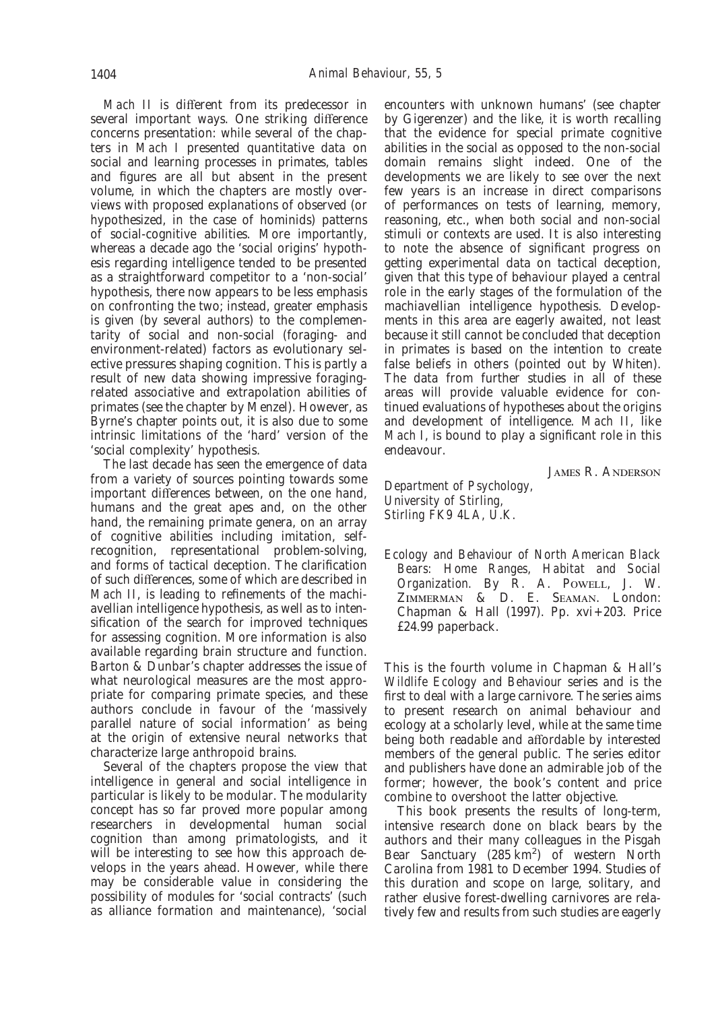*Mach II* is different from its predecessor in several important ways. One striking difference concerns presentation: while several of the chapters in *Mach I* presented quantitative data on social and learning processes in primates, tables and figures are all but absent in the present volume, in which the chapters are mostly overviews with proposed explanations of observed (or hypothesized, in the case of hominids) patterns of social-cognitive abilities. More importantly, whereas a decade ago the 'social origins' hypothesis regarding intelligence tended to be presented as a straightforward competitor to a 'non-social' hypothesis, there now appears to be less emphasis on confronting the two; instead, greater emphasis is given (by several authors) to the complementarity of social and non-social (foraging- and environment-related) factors as evolutionary selective pressures shaping cognition. This is partly a result of new data showing impressive foragingrelated associative and extrapolation abilities of primates (see the chapter by Menzel). However, as Byrne's chapter points out, it is also due to some intrinsic limitations of the 'hard' version of the 'social complexity' hypothesis.

The last decade has seen the emergence of data from a variety of sources pointing towards some important differences between, on the one hand, humans and the great apes and, on the other hand, the remaining primate genera, on an array of cognitive abilities including imitation, selfrecognition, representational problem-solving, and forms of tactical deception. The clarification of such differences, some of which are described in *Mach II*, is leading to refinements of the machiavellian intelligence hypothesis, as well as to intensification of the search for improved techniques for assessing cognition. More information is also available regarding brain structure and function. Barton & Dunbar's chapter addresses the issue of what neurological measures are the most appropriate for comparing primate species, and these authors conclude in favour of the 'massively parallel nature of social information' as being at the origin of extensive neural networks that characterize large anthropoid brains.

Several of the chapters propose the view that intelligence in general and social intelligence in particular is likely to be modular. The modularity concept has so far proved more popular among researchers in developmental human social cognition than among primatologists, and it will be interesting to see how this approach develops in the years ahead. However, while there may be considerable value in considering the possibility of modules for 'social contracts' (such as alliance formation and maintenance), 'social

encounters with unknown humans' (see chapter by Gigerenzer) and the like, it is worth recalling that the evidence for special primate cognitive abilities in the social as opposed to the non-social domain remains slight indeed. One of the developments we are likely to see over the next few years is an increase in direct comparisons of performances on tests of learning, memory, reasoning, etc., when both social and non-social stimuli or contexts are used. It is also interesting to note the absence of significant progress on getting experimental data on tactical deception, given that this type of behaviour played a central role in the early stages of the formulation of the machiavellian intelligence hypothesis. Developments in this area are eagerly awaited, not least because it still cannot be concluded that deception in primates is based on the intention to create false beliefs in others (pointed out by Whiten). The data from further studies in all of these areas will provide valuable evidence for continued evaluations of hypotheses about the origins and development of intelligence. *Mach II*, like *Mach I*, is bound to play a significant role in this endeavour.

**JAMES R. ANDERSON** 

*Department of Psychology, University of Stirling, Stirling FK9 4LA, U.K.*

*Ecology and Behaviour of North American Black Bears: Home Ranges, Habitat and Social* Organization. By R. A. POWELL, J. W. ZIMMERMAN & D. E. SEAMAN. London: Chapman & Hall (1997). Pp. xvi+203. Price £24.99 paperback.

This is the fourth volume in Chapman & Hall's *Wildlife Ecology and Behaviour* series and is the first to deal with a large carnivore. The series aims to present research on animal behaviour and ecology at a scholarly level, while at the same time being both readable and affordable by interested members of the general public. The series editor and publishers have done an admirable job of the former; however, the book's content and price combine to overshoot the latter objective.

This book presents the results of long-term, intensive research done on black bears by the authors and their many colleagues in the Pisgah Bear Sanctuary (285 km<sup>2</sup>) of western North Carolina from 1981 to December 1994. Studies of this duration and scope on large, solitary, and rather elusive forest-dwelling carnivores are relatively few and results from such studies are eagerly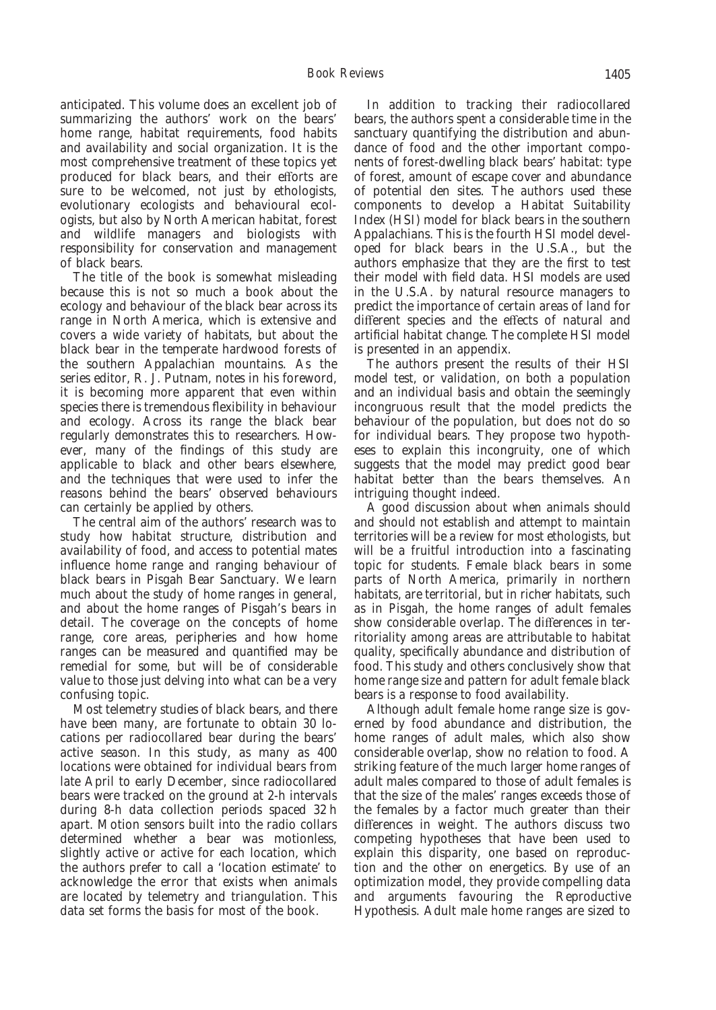anticipated. This volume does an excellent job of summarizing the authors' work on the bears' home range, habitat requirements, food habits and availability and social organization. It is the most comprehensive treatment of these topics yet produced for black bears, and their efforts are sure to be welcomed, not just by ethologists, evolutionary ecologists and behavioural ecologists, but also by North American habitat, forest and wildlife managers and biologists with responsibility for conservation and management of black bears.

The title of the book is somewhat misleading because this is not so much a book about the ecology and behaviour of the black bear across its range in North America, which is extensive and covers a wide variety of habitats, but about the black bear in the temperate hardwood forests of the southern Appalachian mountains. As the series editor, R. J. Putnam, notes in his foreword, it is becoming more apparent that even within species there is tremendous flexibility in behaviour and ecology. Across its range the black bear regularly demonstrates this to researchers. However, many of the findings of this study are applicable to black and other bears elsewhere, and the techniques that were used to infer the reasons behind the bears' observed behaviours can certainly be applied by others.

The central aim of the authors' research was to study how habitat structure, distribution and availability of food, and access to potential mates influence home range and ranging behaviour of black bears in Pisgah Bear Sanctuary. We learn much about the study of home ranges in general, and about the home ranges of Pisgah's bears in detail. The coverage on the concepts of home range, core areas, peripheries and how home ranges can be measured and quantified may be remedial for some, but will be of considerable value to those just delving into what can be a very confusing topic.

Most telemetry studies of black bears, and there have been many, are fortunate to obtain 30 locations per radiocollared bear during the bears' active season. In this study, as many as 400 locations were obtained for individual bears from late April to early December, since radiocollared bears were tracked on the ground at 2-h intervals during 8-h data collection periods spaced 32 h apart. Motion sensors built into the radio collars determined whether a bear was motionless, slightly active or active for each location, which the authors prefer to call a 'location estimate' to acknowledge the error that exists when animals are located by telemetry and triangulation. This data set forms the basis for most of the book.

In addition to tracking their radiocollared bears, the authors spent a considerable time in the sanctuary quantifying the distribution and abundance of food and the other important components of forest-dwelling black bears' habitat: type of forest, amount of escape cover and abundance of potential den sites. The authors used these components to develop a Habitat Suitability Index (HSI) model for black bears in the southern Appalachians. This is the fourth HSI model developed for black bears in the U.S.A., but the authors emphasize that they are the first to test their model with field data. HSI models are used in the U.S.A. by natural resource managers to predict the importance of certain areas of land for different species and the effects of natural and artificial habitat change. The complete HSI model is presented in an appendix.

The authors present the results of their HSI model test, or validation, on both a population and an individual basis and obtain the seemingly incongruous result that the model predicts the behaviour of the population, but does not do so for individual bears. They propose two hypotheses to explain this incongruity, one of which suggests that the model may predict good bear habitat better than the bears themselves. An intriguing thought indeed.

A good discussion about when animals should and should not establish and attempt to maintain territories will be a review for most ethologists, but will be a fruitful introduction into a fascinating topic for students. Female black bears in some parts of North America, primarily in northern habitats, are territorial, but in richer habitats, such as in Pisgah, the home ranges of adult females show considerable overlap. The differences in territoriality among areas are attributable to habitat quality, specifically abundance and distribution of food. This study and others conclusively show that home range size and pattern for adult female black bears is a response to food availability.

Although adult female home range size is governed by food abundance and distribution, the home ranges of adult males, which also show considerable overlap, show no relation to food. A striking feature of the much larger home ranges of adult males compared to those of adult females is that the size of the males' ranges exceeds those of the females by a factor much greater than their differences in weight. The authors discuss two competing hypotheses that have been used to explain this disparity, one based on reproduction and the other on energetics. By use of an optimization model, they provide compelling data and arguments favouring the Reproductive Hypothesis. Adult male home ranges are sized to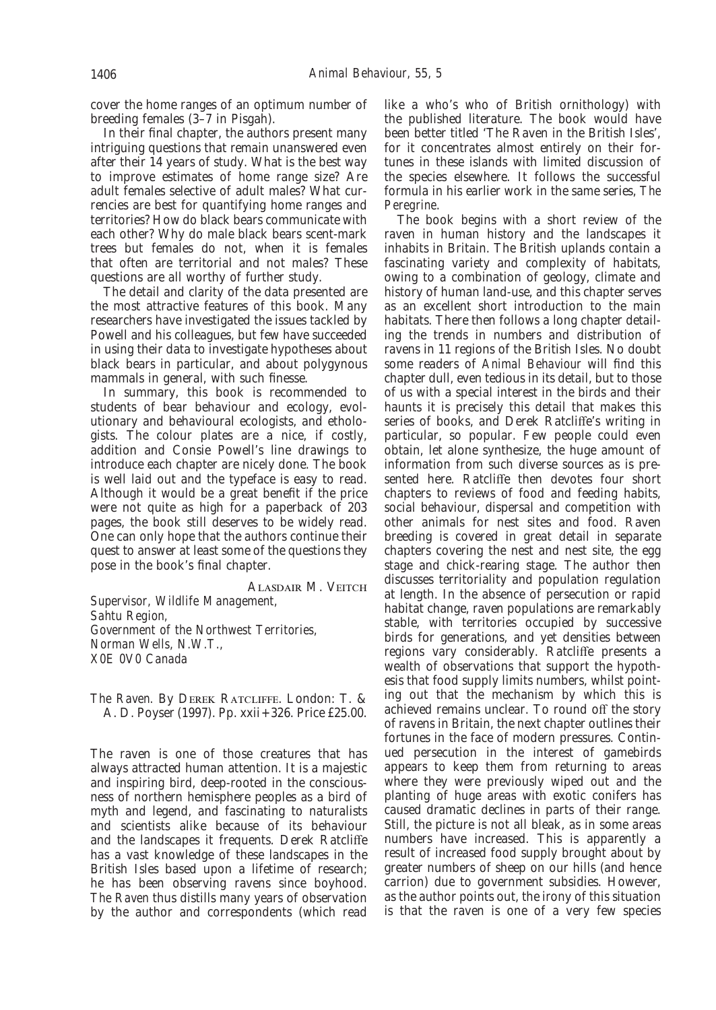cover the home ranges of an optimum number of breeding females (3–7 in Pisgah).

In their final chapter, the authors present many intriguing questions that remain unanswered even after their 14 years of study. What is the best way to improve estimates of home range size? Are adult females selective of adult males? What currencies are best for quantifying home ranges and territories? How do black bears communicate with each other? Why do male black bears scent-mark trees but females do not, when it is females that often are territorial and not males? These questions are all worthy of further study.

The detail and clarity of the data presented are the most attractive features of this book. Many researchers have investigated the issues tackled by Powell and his colleagues, but few have succeeded in using their data to investigate hypotheses about black bears in particular, and about polygynous mammals in general, with such finesse.

In summary, this book is recommended to students of bear behaviour and ecology, evolutionary and behavioural ecologists, and ethologists. The colour plates are a nice, if costly, addition and Consie Powell's line drawings to introduce each chapter are nicely done. The book is well laid out and the typeface is easy to read. Although it would be a great benefit if the price were not quite as high for a paperback of 203 pages, the book still deserves to be widely read. One can only hope that the authors continue their quest to answer at least some of the questions they pose in the book's final chapter.

ALASDAIR M. VEITCH

*Supervisor, Wildlife Management, Sahtu Region, Government of the Northwest Territories, Norman Wells, N.W.T., X0E 0V0 Canada*

*The Raven.* By DEREK RATCLIFFE. London: T. & A. D. Poyser (1997). Pp. xxii+326. Price £25.00.

The raven is one of those creatures that has always attracted human attention. It is a majestic and inspiring bird, deep-rooted in the consciousness of northern hemisphere peoples as a bird of myth and legend, and fascinating to naturalists and scientists alike because of its behaviour and the landscapes it frequents. Derek Ratcliffe has a vast knowledge of these landscapes in the British Isles based upon a lifetime of research; he has been observing ravens since boyhood. *The Raven* thus distills many years of observation by the author and correspondents (which read

like a who's who of British ornithology) with the published literature. The book would have been better titled 'The Raven in the British Isles', for it concentrates almost entirely on their fortunes in these islands with limited discussion of the species elsewhere. It follows the successful formula in his earlier work in the same series, *The Peregrine*.

The book begins with a short review of the raven in human history and the landscapes it inhabits in Britain. The British uplands contain a fascinating variety and complexity of habitats, owing to a combination of geology, climate and history of human land-use, and this chapter serves as an excellent short introduction to the main habitats. There then follows a long chapter detailing the trends in numbers and distribution of ravens in 11 regions of the British Isles. No doubt some readers of *Animal Behaviour* will find this chapter dull, even tedious in its detail, but to those of us with a special interest in the birds and their haunts it is precisely this detail that makes this series of books, and Derek Ratcliffe's writing in particular, so popular. Few people could even obtain, let alone synthesize, the huge amount of information from such diverse sources as is presented here. Ratcliffe then devotes four short chapters to reviews of food and feeding habits, social behaviour, dispersal and competition with other animals for nest sites and food. Raven breeding is covered in great detail in separate chapters covering the nest and nest site, the egg stage and chick-rearing stage. The author then discusses territoriality and population regulation at length. In the absence of persecution or rapid habitat change, raven populations are remarkably stable, with territories occupied by successive birds for generations, and yet densities between regions vary considerably. Ratcliffe presents a wealth of observations that support the hypothesis that food supply limits numbers, whilst pointing out that the mechanism by which this is achieved remains unclear. To round off the story of ravens in Britain, the next chapter outlines their fortunes in the face of modern pressures. Continued persecution in the interest of gamebirds appears to keep them from returning to areas where they were previously wiped out and the planting of huge areas with exotic conifers has caused dramatic declines in parts of their range. Still, the picture is not all bleak, as in some areas numbers have increased. This is apparently a result of increased food supply brought about by greater numbers of sheep on our hills (and hence carrion) due to government subsidies. However, as the author points out, the irony of this situation is that the raven is one of a very few species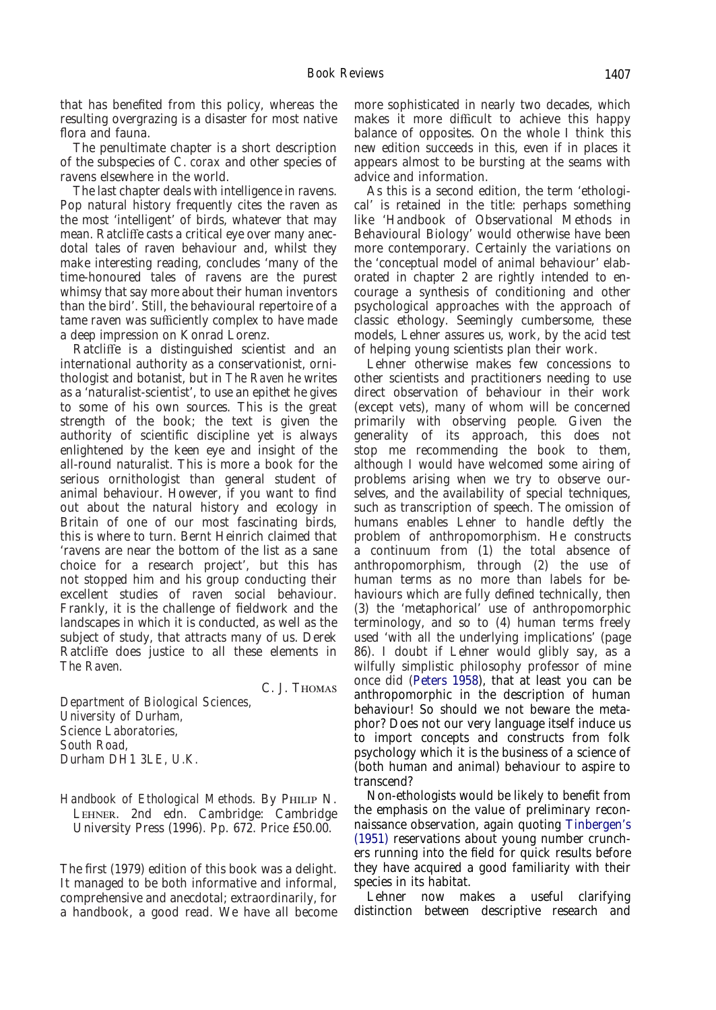that has benefited from this policy, whereas the resulting overgrazing is a disaster for most native flora and fauna.

The penultimate chapter is a short description of the subspecies of *C. corax* and other species of ravens elsewhere in the world.

The last chapter deals with intelligence in ravens. Pop natural history frequently cites the raven as the most 'intelligent' of birds, whatever that may mean. Ratcliffe casts a critical eye over many anecdotal tales of raven behaviour and, whilst they make interesting reading, concludes 'many of the time-honoured tales of ravens are the purest whimsy that say more about their human inventors than the bird'. Still, the behavioural repertoire of a tame raven was sufficiently complex to have made a deep impression on Konrad Lorenz.

Ratcliffe is a distinguished scientist and an international authority as a conservationist, ornithologist and botanist, but in *The Raven* he writes as a 'naturalist-scientist', to use an epithet he gives to some of his own sources. This is the great strength of the book; the text is given the authority of scientific discipline yet is always enlightened by the keen eye and insight of the all-round naturalist. This is more a book for the serious ornithologist than general student of animal behaviour. However, if you want to find out about the natural history and ecology in Britain of one of our most fascinating birds, this is where to turn. Bernt Heinrich claimed that 'ravens are near the bottom of the list as a sane choice for a research project', but this has not stopped him and his group conducting their excellent studies of raven social behaviour. Frankly, it is the challenge of fieldwork and the landscapes in which it is conducted, as well as the subject of study, that attracts many of us. Derek Ratcliffe does justice to all these elements in *The Raven*.

C. J. T

*Department of Biological Sciences, University of Durham, Science Laboratories, South Road, Durham DH1 3LE, U.K.*

*Handbook of Ethological Methods.* By PHILIP N. LEHNER. 2nd edn. Cambridge: Cambridge University Press (1996). Pp. 672. Price £50.00.

The first (1979) edition of this book was a delight. It managed to be both informative and informal, comprehensive and anecdotal; extraordinarily, for a handbook, a good read. We have all become

more sophisticated in nearly two decades, which makes it more difficult to achieve this happy balance of opposites. On the whole I think this new edition succeeds in this, even if in places it appears almost to be bursting at the seams with advice and information.

As this is a second edition, the term 'ethological' is retained in the title: perhaps something like 'Handbook of Observational Methods in Behavioural Biology' would otherwise have been more contemporary. Certainly the variations on the 'conceptual model of animal behaviour' elaborated in chapter 2 are rightly intended to encourage a synthesis of conditioning and other psychological approaches with the approach of classic ethology. Seemingly cumbersome, these models, Lehner assures us, work, by the acid test of helping young scientists plan their work.

Lehner otherwise makes few concessions to other scientists and practitioners needing to use direct observation of behaviour in their work (except vets), many of whom will be concerned primarily with observing people. Given the generality of its approach, this does not stop me recommending the book to them, although I would have welcomed some airing of problems arising when we try to observe ourselves, and the availability of special techniques, such as transcription of speech. The omission of humans enables Lehner to handle deftly the problem of anthropomorphism. He constructs a continuum from (1) the total absence of anthropomorphism, through (2) the use of human terms as no more than labels for behaviours which are fully defined technically, then (3) the 'metaphorical' use of anthropomorphic terminology, and so to (4) human terms freely used 'with all the underlying implications' (page 86). I doubt if Lehner would glibly say, as a wilfully simplistic philosophy professor of mine once did [\(Peters 1958\)](#page-1-1), that at least you can be anthropomorphic in the description of human behaviour! So should we not beware the metaphor? Does not our very language itself induce us to import concepts and constructs from folk psychology which it is the business of a science of (both human and animal) behaviour to aspire to transcend?

Non-ethologists would be likely to benefit from the emphasis on the value of preliminary reconnaissance observation, again quoting [Tinbergen's](#page-1-2) [\(1951\)](#page-1-2) reservations about young number crunchers running into the field for quick results before they have acquired a good familiarity with their species in its habitat.

Lehner now makes a useful clarifying distinction between descriptive research and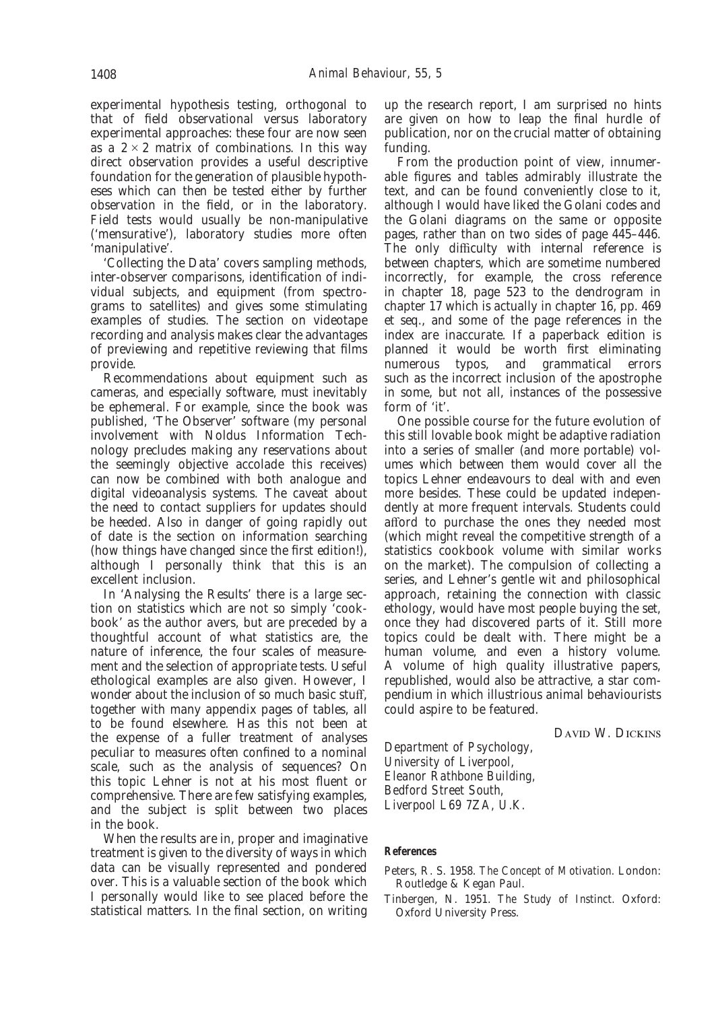experimental hypothesis testing, orthogonal to that of field observational versus laboratory experimental approaches: these four are now seen as a  $2 \times 2$  matrix of combinations. In this way direct observation provides a useful descriptive foundation for the generation of plausible hypotheses which can then be tested either by further observation in the field, or in the laboratory. Field tests would usually be non-manipulative ('mensurative'), laboratory studies more often 'manipulative'.

'Collecting the Data' covers sampling methods, inter-observer comparisons, identification of individual subjects, and equipment (from spectrograms to satellites) and gives some stimulating examples of studies. The section on videotape recording and analysis makes clear the advantages of previewing and repetitive reviewing that films provide.

Recommendations about equipment such as cameras, and especially software, must inevitably be ephemeral. For example, since the book was published, 'The Observer' software (my personal involvement with Noldus Information Technology precludes making any reservations about the seemingly objective accolade this receives) can now be combined with both analogue and digital videoanalysis systems. The caveat about the need to contact suppliers for updates should be heeded. Also in danger of going rapidly out of date is the section on information searching (how things have changed since the first edition!), although I personally think that this is an excellent inclusion.

In 'Analysing the Results' there is a large section on statistics which are not so simply 'cookbook' as the author avers, but are preceded by a thoughtful account of what statistics are, the nature of inference, the four scales of measurement and the selection of appropriate tests. Useful ethological examples are also given. However, I wonder about the inclusion of so much basic stuff, together with many appendix pages of tables, all to be found elsewhere. Has this not been at the expense of a fuller treatment of analyses peculiar to measures often confined to a nominal scale, such as the analysis of sequences? On this topic Lehner is not at his most fluent or comprehensive. There are few satisfying examples, and the subject is split between two places in the book.

When the results are in, proper and imaginative treatment is given to the diversity of ways in which data can be visually represented and pondered over. This is a valuable section of the book which I personally would like to see placed before the statistical matters. In the final section, on writing up the research report, I am surprised no hints are given on how to leap the final hurdle of publication, nor on the crucial matter of obtaining funding.

From the production point of view, innumerable figures and tables admirably illustrate the text, and can be found conveniently close to it, although I would have liked the Golani codes and the Golani diagrams on the same or opposite pages, rather than on two sides of page 445–446. The only difficulty with internal reference is between chapters, which are sometime numbered incorrectly, for example, the cross reference in chapter 18, page 523 to the dendrogram in chapter 17 which is actually in chapter 16, pp. 469 et seq., and some of the page references in the index are inaccurate. If a paperback edition is planned it would be worth first eliminating<br>numerous typos, and grammatical errors and grammatical errors such as the incorrect inclusion of the apostrophe in some, but not all, instances of the possessive form of 'it'.

One possible course for the future evolution of this still lovable book might be adaptive radiation into a series of smaller (and more portable) volumes which between them would cover all the topics Lehner endeavours to deal with and even more besides. These could be updated independently at more frequent intervals. Students could afford to purchase the ones they needed most (which might reveal the competitive strength of a statistics cookbook volume with similar works on the market). The compulsion of collecting a series, and Lehner's gentle wit and philosophical approach, retaining the connection with classic ethology, would have most people buying the set, once they had discovered parts of it. Still more topics could be dealt with. There might be a human volume, and even a history volume. A volume of high quality illustrative papers, republished, would also be attractive, a star compendium in which illustrious animal behaviourists could aspire to be featured.

DAVID W. DICKINS

*Department of Psychology, University of Liverpool, Eleanor Rathbone Building, Bedford Street South, Liverpool L69 7ZA, U.K.*

# **References**

Peters, R. S. 1958. *The Concept of Motivation.* London: Routledge & Kegan Paul.

Tinbergen, N. 1951. *The Study of Instinct.* Oxford: Oxford University Press.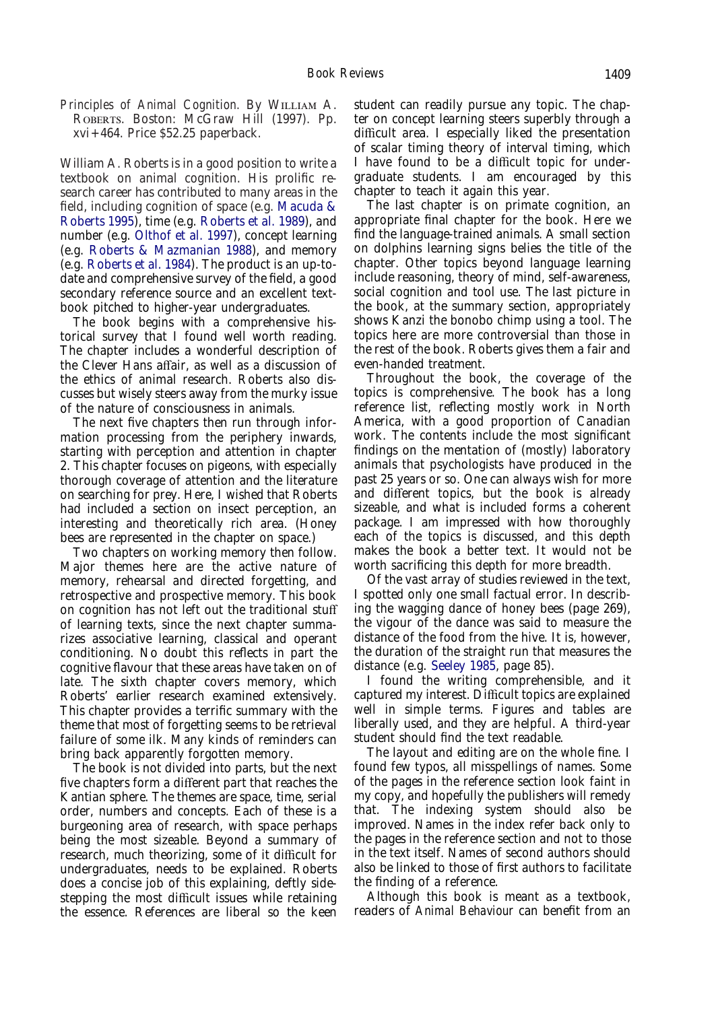*Principles of Animal Cognition.* By WILLIAM A. ROBERTS. Boston: McGraw Hill (1997). Pp. xvi+464. Price \$52.25 paperback.

William A. Roberts is in a good position to write a textbook on animal cognition. His prolific research career has contributed to many areas in the field, including cognition of space (e.g. [Macuda &](#page-1-1) [Roberts 1995\)](#page-1-1), time (e.g. [Roberts et al. 1989\)](#page-1-0), and number (e.g. [Olthof et al. 1997\)](#page-1-2), concept learning (e.g. [Roberts & Mazmanian 1988\)](#page-9-0), and memory (e.g. [Roberts et al. 1984\)](#page-9-1). The product is an up-todate and comprehensive survey of the field, a good secondary reference source and an excellent textbook pitched to higher-year undergraduates.

The book begins with a comprehensive historical survey that I found well worth reading. The chapter includes a wonderful description of the Clever Hans affair, as well as a discussion of the ethics of animal research. Roberts also discusses but wisely steers away from the murky issue of the nature of consciousness in animals.

The next five chapters then run through information processing from the periphery inwards, starting with perception and attention in chapter 2. This chapter focuses on pigeons, with especially thorough coverage of attention and the literature on searching for prey. Here, I wished that Roberts had included a section on insect perception, an interesting and theoretically rich area. (Honey bees are represented in the chapter on space.)

Two chapters on working memory then follow. Major themes here are the active nature of memory, rehearsal and directed forgetting, and retrospective and prospective memory. This book on cognition has not left out the traditional stuff of learning texts, since the next chapter summarizes associative learning, classical and operant conditioning. No doubt this reflects in part the cognitive flavour that these areas have taken on of late. The sixth chapter covers memory, which Roberts' earlier research examined extensively. This chapter provides a terrific summary with the theme that most of forgetting seems to be retrieval failure of some ilk. Many kinds of reminders can bring back apparently forgotten memory.

The book is not divided into parts, but the next five chapters form a different part that reaches the Kantian sphere. The themes are space, time, serial order, numbers and concepts. Each of these is a burgeoning area of research, with space perhaps being the most sizeable. Beyond a summary of research, much theorizing, some of it difficult for undergraduates, needs to be explained. Roberts does a concise job of this explaining, deftly sidestepping the most difficult issues while retaining the essence. References are liberal so the keen

student can readily pursue any topic. The chapter on concept learning steers superbly through a difficult area. I especially liked the presentation of scalar timing theory of interval timing, which I have found to be a difficult topic for undergraduate students. I am encouraged by this chapter to teach it again this year.

The last chapter is on primate cognition, an appropriate final chapter for the book. Here we find the language-trained animals. A small section on dolphins learning signs belies the title of the chapter. Other topics beyond language learning include reasoning, theory of mind, self-awareness, social cognition and tool use. The last picture in the book, at the summary section, appropriately shows Kanzi the bonobo chimp using a tool. The topics here are more controversial than those in the rest of the book. Roberts gives them a fair and even-handed treatment.

Throughout the book, the coverage of the topics is comprehensive. The book has a long reference list, reflecting mostly work in North America, with a good proportion of Canadian work. The contents include the most significant findings on the mentation of (mostly) laboratory animals that psychologists have produced in the past 25 years or so. One can always wish for more and different topics, but the book is already sizeable, and what is included forms a coherent package. I am impressed with how thoroughly each of the topics is discussed, and this depth makes the book a better text. It would not be worth sacrificing this depth for more breadth.

Of the vast array of studies reviewed in the text, I spotted only one small factual error. In describing the wagging dance of honey bees (page 269), the vigour of the dance was said to measure the distance of the food from the hive. It is, however, the duration of the straight run that measures the distance (e.g. [Seeley 1985,](#page-9-2) page 85).

I found the writing comprehensible, and it captured my interest. Difficult topics are explained well in simple terms. Figures and tables are liberally used, and they are helpful. A third-year student should find the text readable.

The layout and editing are on the whole fine. I found few typos, all misspellings of names. Some of the pages in the reference section look faint in my copy, and hopefully the publishers will remedy that. The indexing system should also be improved. Names in the index refer back only to the pages in the reference section and not to those in the text itself. Names of second authors should also be linked to those of first authors to facilitate the finding of a reference.

Although this book is meant as a textbook, readers of *Animal Behaviour* can benefit from an